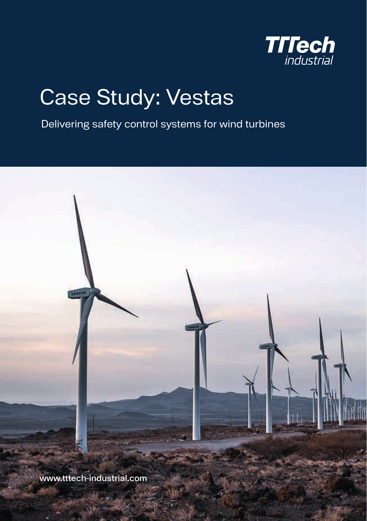

## Case Study: Vestas

Delivering safety control systems for wind turbines